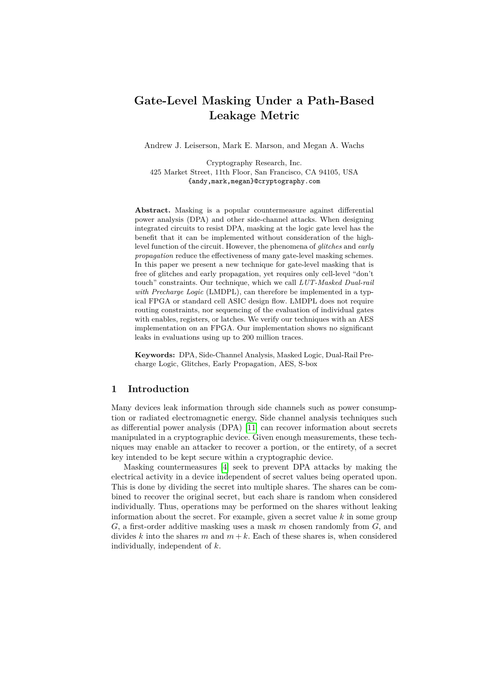# **Gate-Level Masking Under a Path-Based Leakage Metric**

Andrew J. Leiserson, Mark E. Marson, and Megan A. Wachs

Cryptography Research, Inc. 425 Market Street, 11th Floor, San Francisco, CA 94105, USA {andy,mark,megan}@cryptography.com

**Abstract.** Masking is a popular countermeasure against differential power analysis (DPA) and other side-channel attacks. When designing integrated circuits to resist DPA, masking at the logic gate level has the benefit that it can be implemented without consideration of the highlevel function of the circuit. However, the phenomena of *glitches* and *early propagation* reduce the effectiveness of many gate-level masking schemes. In this paper we present a new technique for gate-level masking that is free of glitches and early propagation, yet requires only cell-level "don't touch" constraints. Our technique, which we call *LUT-Masked Dual-rail with Precharge Logic* (LMDPL), can therefore be implemented in a typical FPGA or standard cell ASIC design flow. LMDPL does not require routing constraints, nor sequencing of the evaluation of individual gates with enables, registers, or latches. We verify our techniques with an AES implementation on an FPGA. Our implementation shows no significant leaks in evaluations using up to 200 million traces.

**Keywords:** DPA, Side-Channel Analysis, Masked Logic, Dual-Rail Precharge Logic, Glitches, Early Propagation, AES, S-box

# **1 Introduction**

Many devices leak information through side channels such as power consumption or radiated electromagnetic energy. Side channel analysis techniques such as differential power analysis (DPA) [\[11\]](#page-15-0) can recover information about secrets manipulated in a cryptographic device. Given enough measurements, these techniques may enable an attacker to recover a portion, or the entirety, of a secret key intended to be kept secure within a cryptographic device.

Masking countermeasures [\[4\]](#page-14-0) seek to prevent DPA attacks by making the electrical activity in a device independent of secret values being operated upon. This is done by dividing the secret into multiple shares. The shares can be combined to recover the original secret, but each share is random when considered individually. Thus, operations may be performed on the shares without leaking information about the secret. For example, given a secret value *k* in some group *G*, a first-order additive masking uses a mask *m* chosen randomly from *G*, and divides  $k$  into the shares  $m$  and  $m + k$ . Each of these shares is, when considered individually, independent of *k*.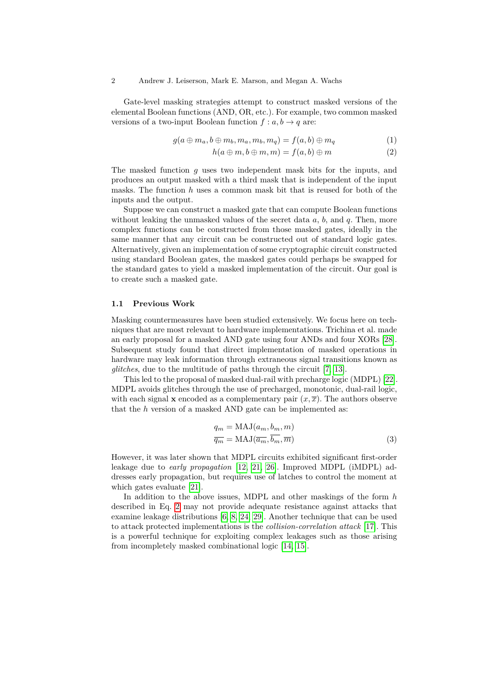Gate-level masking strategies attempt to construct masked versions of the elemental Boolean functions (AND, OR, etc.). For example, two common masked versions of a two-input Boolean function  $f : a, b \rightarrow q$  are:

<span id="page-1-0"></span>
$$
g(a \oplus m_a, b \oplus m_b, m_a, m_b, m_q) = f(a, b) \oplus m_q \tag{1}
$$

$$
h(a \oplus m, b \oplus m, m) = f(a, b) \oplus m \tag{2}
$$

The masked function *g* uses two independent mask bits for the inputs, and produces an output masked with a third mask that is independent of the input masks. The function *h* uses a common mask bit that is reused for both of the inputs and the output.

Suppose we can construct a masked gate that can compute Boolean functions without leaking the unmasked values of the secret data *a*, *b*, and *q*. Then, more complex functions can be constructed from those masked gates, ideally in the same manner that any circuit can be constructed out of standard logic gates. Alternatively, given an implementation of some cryptographic circuit constructed using standard Boolean gates, the masked gates could perhaps be swapped for the standard gates to yield a masked implementation of the circuit. Our goal is to create such a masked gate.

### **1.1 Previous Work**

Masking countermeasures have been studied extensively. We focus here on techniques that are most relevant to hardware implementations. Trichina et al. made an early proposal for a masked AND gate using four ANDs and four XORs [\[28\]](#page-16-0). Subsequent study found that direct implementation of masked operations in hardware may leak information through extraneous signal transitions known as *glitches*, due to the multitude of paths through the circuit [\[7,](#page-15-1) [13\]](#page-15-2).

This led to the proposal of masked dual-rail with precharge logic (MDPL) [\[22\]](#page-16-1). MDPL avoids glitches through the use of precharged, monotonic, dual-rail logic, with each signal **x** encoded as a complementary pair  $(x, \overline{x})$ . The authors observe that the *h* version of a masked AND gate can be implemented as:

$$
q_m = \text{MAJ}(a_m, b_m, m)
$$
  
\n
$$
\overline{q_m} = \text{MAJ}(\overline{a_m}, \overline{b_m}, \overline{m})
$$
\n(3)

However, it was later shown that MDPL circuits exhibited significant first-order leakage due to *early propagation* [\[12,](#page-15-3) [21,](#page-15-4) [26\]](#page-16-2). Improved MDPL (iMDPL) addresses early propagation, but requires use of latches to control the moment at which gates evaluate [\[21\]](#page-15-4).

In addition to the above issues, MDPL and other maskings of the form *h* described in Eq. [2](#page-1-0) may not provide adequate resistance against attacks that examine leakage distributions [\[6,](#page-15-5) [8,](#page-15-6) [24,](#page-16-3) [29\]](#page-16-4). Another technique that can be used to attack protected implementations is the *collision-correlation attack* [\[17\]](#page-15-7). This is a powerful technique for exploiting complex leakages such as those arising from incompletely masked combinational logic [\[14,](#page-15-8) [15\]](#page-15-9).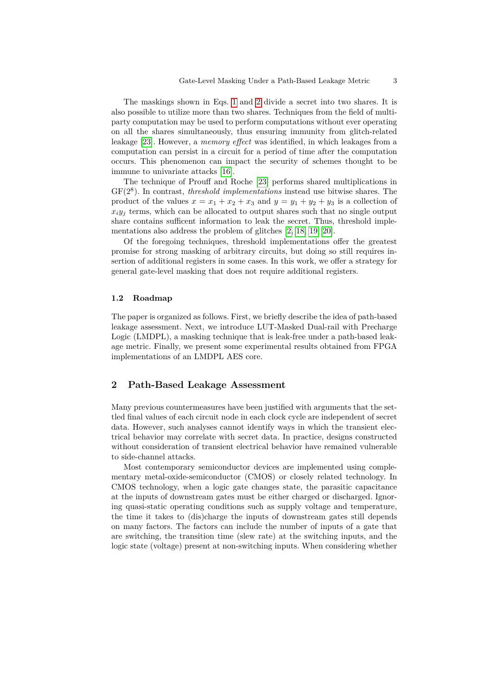The maskings shown in Eqs. [1](#page-1-0) and [2](#page-1-0) divide a secret into two shares. It is also possible to utilize more than two shares. Techniques from the field of multiparty computation may be used to perform computations without ever operating on all the shares simultaneously, thus ensuring immunity from glitch-related leakage [\[23\]](#page-16-5). However, a *memory effect* was identified, in which leakages from a computation can persist in a circuit for a period of time after the computation occurs. This phenomenon can impact the security of schemes thought to be immune to univariate attacks [\[16\]](#page-15-10).

The technique of Prouff and Roche [\[23\]](#page-16-5) performs shared multiplications in GF(2<sup>8</sup> ). In contrast, *threshold implementations* instead use bitwise shares. The product of the values  $x = x_1 + x_2 + x_3$  and  $y = y_1 + y_2 + y_3$  is a collection of  $x_i y_j$  terms, which can be allocated to output shares such that no single output share contains sufficent information to leak the secret. Thus, threshold implementations also address the problem of glitches [\[2,](#page-14-1) [18,](#page-15-11) [19,](#page-15-12) [20\]](#page-15-13).

Of the foregoing techniques, threshold implementations offer the greatest promise for strong masking of arbitrary circuits, but doing so still requires insertion of additional registers in some cases. In this work, we offer a strategy for general gate-level masking that does not require additional registers.

#### **1.2 Roadmap**

The paper is organized as follows. First, we briefly describe the idea of path-based leakage assessment. Next, we introduce LUT-Masked Dual-rail with Precharge Logic (LMDPL), a masking technique that is leak-free under a path-based leakage metric. Finally, we present some experimental results obtained from FPGA implementations of an LMDPL AES core.

### **2 Path-Based Leakage Assessment**

Many previous countermeasures have been justified with arguments that the settled final values of each circuit node in each clock cycle are independent of secret data. However, such analyses cannot identify ways in which the transient electrical behavior may correlate with secret data. In practice, designs constructed without consideration of transient electrical behavior have remained vulnerable to side-channel attacks.

Most contemporary semiconductor devices are implemented using complementary metal-oxide-semiconductor (CMOS) or closely related technology. In CMOS technology, when a logic gate changes state, the parasitic capacitance at the inputs of downstream gates must be either charged or discharged. Ignoring quasi-static operating conditions such as supply voltage and temperature, the time it takes to (dis)charge the inputs of downstream gates still depends on many factors. The factors can include the number of inputs of a gate that are switching, the transition time (slew rate) at the switching inputs, and the logic state (voltage) present at non-switching inputs. When considering whether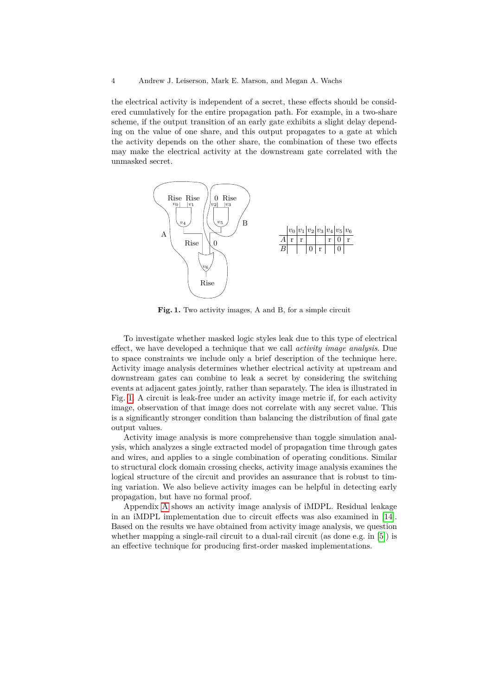#### 4 Andrew J. Leiserson, Mark E. Marson, and Megan A. Wachs

the electrical activity is independent of a secret, these effects should be considered cumulatively for the entire propagation path. For example, in a two-share scheme, if the output transition of an early gate exhibits a slight delay depending on the value of one share, and this output propagates to a gate at which the activity depends on the other share, the combination of these two effects may make the electrical activity at the downstream gate correlated with the unmasked secret.



<span id="page-3-0"></span>Fig. 1. Two activity images, A and B, for a simple circuit

To investigate whether masked logic styles leak due to this type of electrical effect, we have developed a technique that we call *activity image analysis*. Due to space constraints we include only a brief description of the technique here. Activity image analysis determines whether electrical activity at upstream and downstream gates can combine to leak a secret by considering the switching events at adjacent gates jointly, rather than separately. The idea is illustrated in Fig. [1.](#page-3-0) A circuit is leak-free under an activity image metric if, for each activity image, observation of that image does not correlate with any secret value. This is a significantly stronger condition than balancing the distribution of final gate output values.

Activity image analysis is more comprehensive than toggle simulation analysis, which analyzes a single extracted model of propagation time through gates and wires, and applies to a single combination of operating conditions. Similar to structural clock domain crossing checks, activity image analysis examines the logical structure of the circuit and provides an assurance that is robust to timing variation. We also believe activity images can be helpful in detecting early propagation, but have no formal proof.

Appendix [A](#page-16-6) shows an activity image analysis of iMDPL. Residual leakage in an iMDPL implementation due to circuit effects was also examined in [\[14\]](#page-15-8). Based on the results we have obtained from activity image analysis, we question whether mapping a single-rail circuit to a dual-rail circuit (as done e.g. in [\[5\]](#page-14-2)) is an effective technique for producing first-order masked implementations.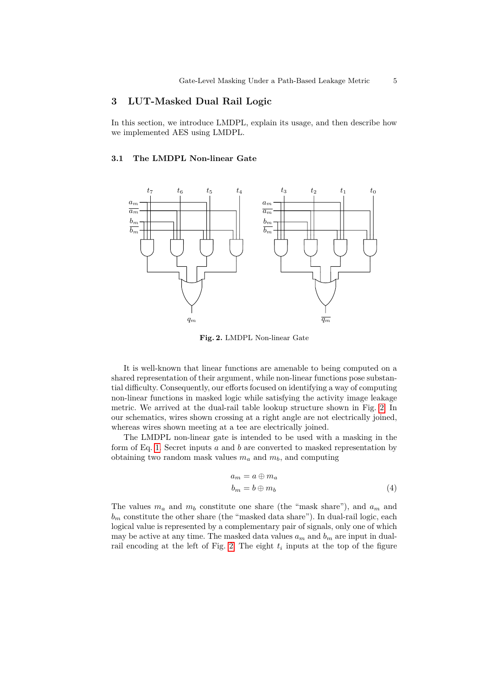### **3 LUT-Masked Dual Rail Logic**

In this section, we introduce LMDPL, explain its usage, and then describe how we implemented AES using LMDPL.

# <span id="page-4-1"></span>**3.1 The LMDPL Non-linear Gate**



<span id="page-4-0"></span>**Fig. 2.** LMDPL Non-linear Gate

It is well-known that linear functions are amenable to being computed on a shared representation of their argument, while non-linear functions pose substantial difficulty. Consequently, our efforts focused on identifying a way of computing non-linear functions in masked logic while satisfying the activity image leakage metric. We arrived at the dual-rail table lookup structure shown in Fig. [2.](#page-4-0) In our schematics, wires shown crossing at a right angle are not electrically joined, whereas wires shown meeting at a tee are electrically joined.

The LMDPL non-linear gate is intended to be used with a masking in the form of Eq. [1.](#page-1-0) Secret inputs *a* and *b* are converted to masked representation by obtaining two random mask values  $m_a$  and  $m_b$ , and computing

$$
a_m = a \oplus m_a
$$
  

$$
b_m = b \oplus m_b
$$
 (4)

The values  $m_a$  and  $m_b$  constitute one share (the "mask share"), and  $a_m$  and *b<sup>m</sup>* constitute the other share (the "masked data share"). In dual-rail logic, each logical value is represented by a complementary pair of signals, only one of which may be active at any time. The masked data values  $a_m$  and  $b_m$  are input in dual-rail encoding at the left of Fig. [2.](#page-4-0) The eight  $t_i$  inputs at the top of the figure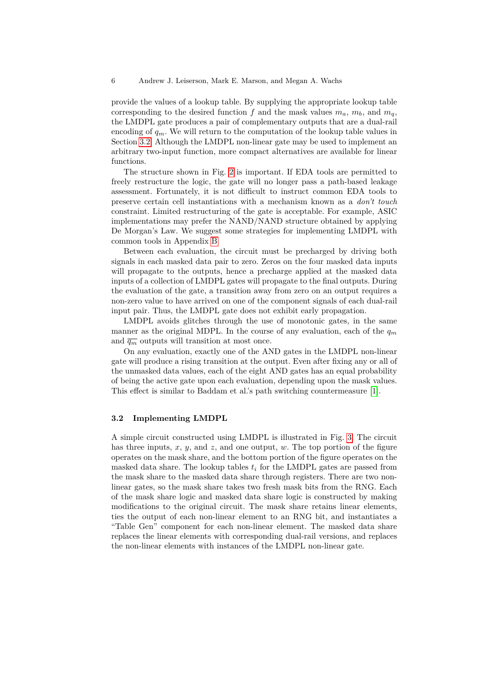provide the values of a lookup table. By supplying the appropriate lookup table corresponding to the desired function  $f$  and the mask values  $m_a$ ,  $m_b$ , and  $m_q$ , the LMDPL gate produces a pair of complementary outputs that are a dual-rail encoding of  $q_m$ . We will return to the computation of the lookup table values in Section [3.2.](#page-5-0) Although the LMDPL non-linear gate may be used to implement an arbitrary two-input function, more compact alternatives are available for linear functions.

The structure shown in Fig. [2](#page-4-0) is important. If EDA tools are permitted to freely restructure the logic, the gate will no longer pass a path-based leakage assessment. Fortunately, it is not difficult to instruct common EDA tools to preserve certain cell instantiations with a mechanism known as a *don't touch* constraint. Limited restructuring of the gate is acceptable. For example, ASIC implementations may prefer the NAND/NAND structure obtained by applying De Morgan's Law. We suggest some strategies for implementing LMDPL with common tools in Appendix [B](#page-17-0)

Between each evaluation, the circuit must be precharged by driving both signals in each masked data pair to zero. Zeros on the four masked data inputs will propagate to the outputs, hence a precharge applied at the masked data inputs of a collection of LMDPL gates will propagate to the final outputs. During the evaluation of the gate, a transition away from zero on an output requires a non-zero value to have arrived on one of the component signals of each dual-rail input pair. Thus, the LMDPL gate does not exhibit early propagation.

LMDPL avoids glitches through the use of monotonic gates, in the same manner as the original MDPL. In the course of any evaluation, each of the  $q_m$ and  $\overline{q_m}$  outputs will transition at most once.

On any evaluation, exactly one of the AND gates in the LMDPL non-linear gate will produce a rising transition at the output. Even after fixing any or all of the unmasked data values, each of the eight AND gates has an equal probability of being the active gate upon each evaluation, depending upon the mask values. This effect is similar to Baddam et al.'s path switching countermeasure [\[1\]](#page-14-3).

### <span id="page-5-0"></span>**3.2 Implementing LMDPL**

A simple circuit constructed using LMDPL is illustrated in Fig. [3.](#page-6-0) The circuit has three inputs, *x*, *y*, and *z*, and one output, *w*. The top portion of the figure operates on the mask share, and the bottom portion of the figure operates on the masked data share. The lookup tables  $t_i$  for the LMDPL gates are passed from the mask share to the masked data share through registers. There are two nonlinear gates, so the mask share takes two fresh mask bits from the RNG. Each of the mask share logic and masked data share logic is constructed by making modifications to the original circuit. The mask share retains linear elements, ties the output of each non-linear element to an RNG bit, and instantiates a "Table Gen" component for each non-linear element. The masked data share replaces the linear elements with corresponding dual-rail versions, and replaces the non-linear elements with instances of the LMDPL non-linear gate.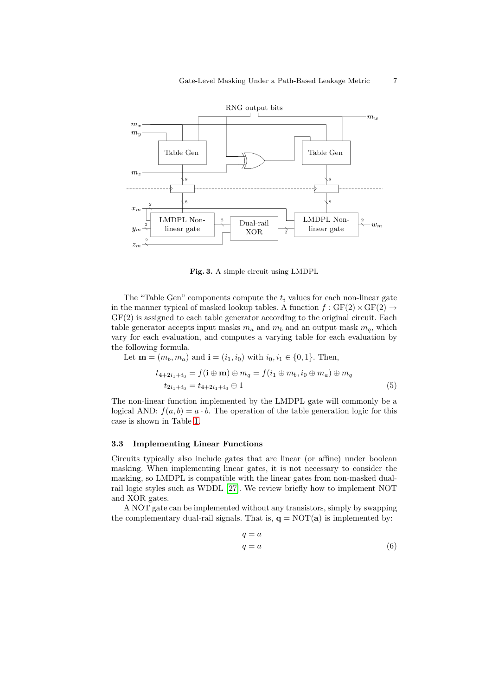

<span id="page-6-0"></span>**Fig. 3.** A simple circuit using LMDPL

The "Table Gen" components compute the  $t_i$  values for each non-linear gate in the manner typical of masked lookup tables. A function  $f : GF(2) \times GF(2) \rightarrow$ GF(2) is assigned to each table generator according to the original circuit. Each table generator accepts input masks  $m_a$  and  $m_b$  and an output mask  $m_q$ , which vary for each evaluation, and computes a varying table for each evaluation by the following formula.

Let  $\mathbf{m} = (m_b, m_a)$  and  $\mathbf{i} = (i_1, i_0)$  with  $i_0, i_1 \in \{0, 1\}$ . Then,

$$
t_{4+2i_1+i_0} = f(\mathbf{i} \oplus \mathbf{m}) \oplus m_q = f(i_1 \oplus m_b, i_0 \oplus m_a) \oplus m_q
$$
  
\n
$$
t_{2i_1+i_0} = t_{4+2i_1+i_0} \oplus 1
$$
\n(5)

The non-linear function implemented by the LMDPL gate will commonly be a logical AND:  $f(a, b) = a \cdot b$ . The operation of the table generation logic for this case is shown in Table [1.](#page-7-0)

#### **3.3 Implementing Linear Functions**

Circuits typically also include gates that are linear (or affine) under boolean masking. When implementing linear gates, it is not necessary to consider the masking, so LMDPL is compatible with the linear gates from non-masked dualrail logic styles such as WDDL [\[27\]](#page-16-7). We review briefly how to implement NOT and XOR gates.

A NOT gate can be implemented without any transistors, simply by swapping the complementary dual-rail signals. That is,  $q = NOT(a)$  is implemented by:

$$
q = \overline{a}
$$
  
\n
$$
\overline{q} = a
$$
\n(6)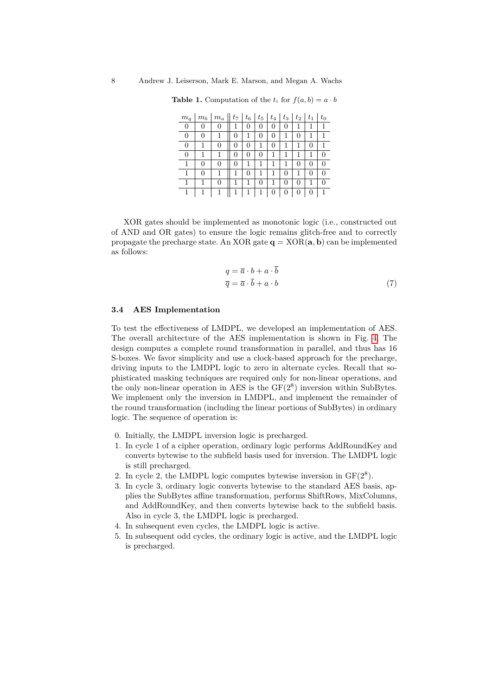<span id="page-7-0"></span> $\mathbb{R}^2$ 

| $m_q$ | $m_b$ | $m_a$ | $t_7$    | $t_{6}$ | $t_{5}$ | $t_4$    | $t_3$    | $t_2$        | $t_1$    | $t_{0}$  |
|-------|-------|-------|----------|---------|---------|----------|----------|--------------|----------|----------|
| 0     | 0     | 0     | 1        | 0       | 0       | 0        | 0        |              |          |          |
| 0     | 0     | 1     | 0        | 1       | 0       | 0        |          | 0            | 1        |          |
| 0     |       | 0     | $\theta$ | 0       | 1       | $\theta$ |          |              | $\theta$ |          |
| 0     | 1     | 1     | 0        | 0       | 0       | 1        | 1        | 1            | 1        | 0        |
| 1     | 0     | 0     | 0        |         | 1       |          |          | 0            | 0        |          |
| 1     | 0     | 1     | 1        | 0       | 1       |          | 0        |              | 0        | 0        |
| 1     | 1     | 0     | 1        | 1       | 0       |          | $\theta$ | $\mathbf{0}$ |          | $^{(1)}$ |
|       |       |       | 1        | 1       | 1       | 0        | 0        | 0            | O        |          |

**Table 1.** Computation of the  $t_i$  for  $f(a, b) = a \cdot b$ 

XOR gates should be implemented as monotonic logic (i.e., constructed out of AND and OR gates) to ensure the logic remains glitch-free and to correctly propagate the precharge state. An XOR gate  $q = XOR(a, b)$  can be implemented as follows:

$$
q = \overline{a} \cdot b + a \cdot \overline{b}
$$
  
\n
$$
\overline{q} = \overline{a} \cdot \overline{b} + a \cdot b
$$
 (7)

 $\sim 10^{-1}$ 

#### **3.4 AES Implementation**

To test the effectiveness of LMDPL, we developed an implementation of AES. The overall architecture of the AES implementation is shown in Fig. [4.](#page-8-0) The design computes a complete round transformation in parallel, and thus has 16 S-boxes. We favor simplicity and use a clock-based approach for the precharge, driving inputs to the LMDPL logic to zero in alternate cycles. Recall that sophisticated masking techniques are required only for non-linear operations, and the only non-linear operation in AES is the  $GF(2^8)$  inversion within SubBytes. We implement only the inversion in LMDPL, and implement the remainder of the round transformation (including the linear portions of SubBytes) in ordinary logic. The sequence of operation is:

- 0. Initially, the LMDPL inversion logic is precharged.
- 1. In cycle 1 of a cipher operation, ordinary logic performs AddRoundKey and converts bytewise to the subfield basis used for inversion. The LMDPL logic is still precharged.
- 2. In cycle 2, the LMDPL logic computes bytewise inversion in  $GF(2^8)$ .
- 3. In cycle 3, ordinary logic converts bytewise to the standard AES basis, applies the SubBytes affine transformation, performs ShiftRows, MixColumns, and AddRoundKey, and then converts bytewise back to the subfield basis. Also in cycle 3, the LMDPL logic is precharged.
- 4. In subsequent even cycles, the LMDPL logic is active.
- 5. In subsequent odd cycles, the ordinary logic is active, and the LMDPL logic is precharged.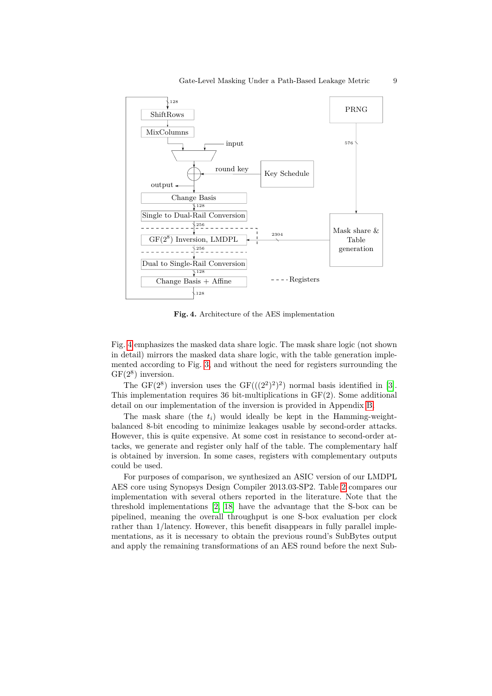

<span id="page-8-0"></span>**Fig. 4.** Architecture of the AES implementation

Fig. [4](#page-8-0) emphasizes the masked data share logic. The mask share logic (not shown in detail) mirrors the masked data share logic, with the table generation implemented according to Fig. [3,](#page-6-0) and without the need for registers surrounding the  $GF(2^8)$  inversion.

The GF( $2^8$ ) inversion uses the GF( $((2^2)^2)^2$ ) normal basis identified in [\[3\]](#page-14-4). This implementation requires 36 bit-multiplications in GF(2). Some additional detail on our implementation of the inversion is provided in Appendix [B.](#page-17-0)

The mask share (the  $t_i$ ) would ideally be kept in the Hamming-weightbalanced 8-bit encoding to minimize leakages usable by second-order attacks. However, this is quite expensive. At some cost in resistance to second-order attacks, we generate and register only half of the table. The complementary half is obtained by inversion. In some cases, registers with complementary outputs could be used.

For purposes of comparison, we synthesized an ASIC version of our LMDPL AES core using Synopsys Design Compiler 2013.03-SP2. Table [2](#page-9-0) compares our implementation with several others reported in the literature. Note that the threshold implementations [\[2,](#page-14-1) [18\]](#page-15-11) have the advantage that the S-box can be pipelined, meaning the overall throughput is one S-box evaluation per clock rather than 1/latency. However, this benefit disappears in fully parallel implementations, as it is necessary to obtain the previous round's SubBytes output and apply the remaining transformations of an AES round before the next Sub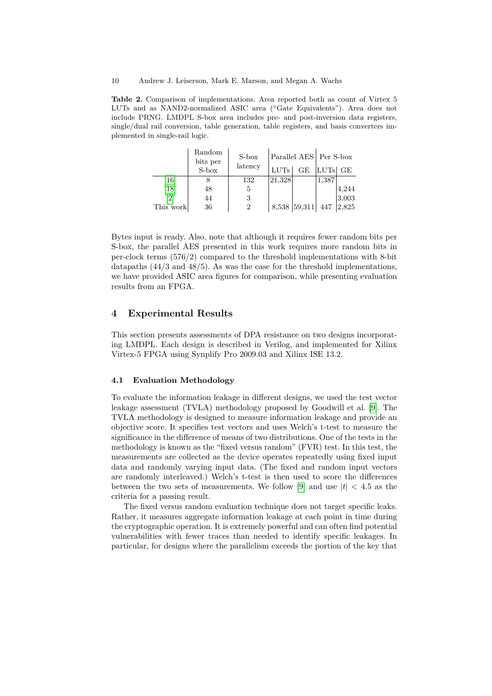<span id="page-9-0"></span>**Table 2.** Comparison of implementations. Area reported both as count of Virtex 5 LUTs and as NAND2-normalized ASIC area ("Gate Equivalents"). Area does not include PRNG. LMDPL S-box area includes pre- and post-inversion data registers, single/dual rail conversion, table generation, table registers, and basis converters implemented in single-rail logic.

|                    | Random<br>bits per | S-box<br>latency |             |              | Parallel AES Per S-box<br>LUTs GE |               |
|--------------------|--------------------|------------------|-------------|--------------|-----------------------------------|---------------|
|                    | S-box              |                  | <b>LUTs</b> | GE           |                                   |               |
| $[16]$             |                    | 132              | 21,328      |              | 1,387                             |               |
| [18]               | 48                 | 5                |             |              |                                   | 4,244         |
| $\left[ 2 \right]$ | 44                 | 3                |             |              |                                   | $\vert 3.003$ |
| This work          | 36                 | 2                |             | 8,538 59,311 | 447                               | 2,825         |

Bytes input is ready. Also, note that although it requires fewer random bits per S-box, the parallel AES presented in this work requires more random bits in per-clock terms (576/2) compared to the threshold implementations with 8-bit datapaths  $(44/3 \text{ and } 48/5)$ . As was the case for the threshold implementations, we have provided ASIC area figures for comparison, while presenting evaluation results from an FPGA.

# **4 Experimental Results**

This section presents assessments of DPA resistance on two designs incorporating LMDPL. Each design is described in Verilog, and implemented for Xilinx Virtex-5 FPGA using Synplify Pro 2009.03 and Xilinx ISE 13.2.

### **4.1 Evaluation Methodology**

To evaluate the information leakage in different designs, we used the test vector leakage assessment (TVLA) methodology proposed by Goodwill et al. [\[9\]](#page-15-14). The TVLA methodology is designed to measure information leakage and provide an objective score. It specifies test vectors and uses Welch's t-test to measure the significance in the difference of means of two distributions. One of the tests in the methodology is known as the "fixed versus random" (FVR) test. In this test, the measurements are collected as the device operates repeatedly using fixed input data and randomly varying input data. (The fixed and random input vectors are randomly interleaved.) Welch's t-test is then used to score the differences between the two sets of measurements. We follow [\[9\]](#page-15-14) and use  $|t| < 4.5$  as the criteria for a passing result.

The fixed versus random evaluation technique does not target specific leaks. Rather, it measures aggregate information leakage at each point in time during the cryptographic operation. It is extremely powerful and can often find potential vulnerabilities with fewer traces than needed to identify specific leakages. In particular, for designs where the parallelism exceeds the portion of the key that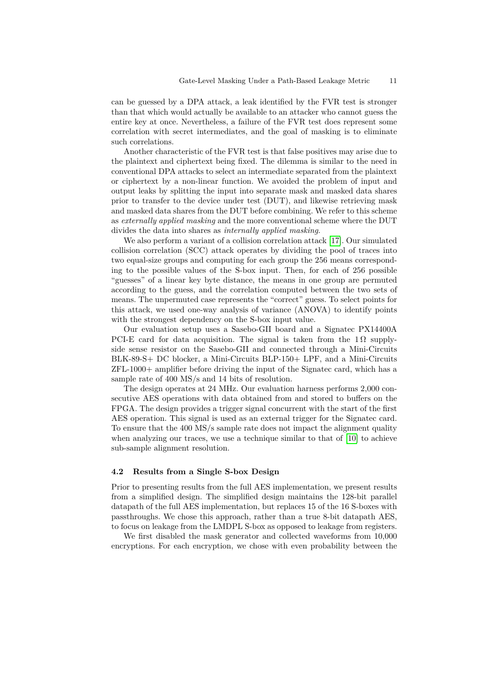can be guessed by a DPA attack, a leak identified by the FVR test is stronger than that which would actually be available to an attacker who cannot guess the entire key at once. Nevertheless, a failure of the FVR test does represent some correlation with secret intermediates, and the goal of masking is to eliminate such correlations.

Another characteristic of the FVR test is that false positives may arise due to the plaintext and ciphertext being fixed. The dilemma is similar to the need in conventional DPA attacks to select an intermediate separated from the plaintext or ciphertext by a non-linear function. We avoided the problem of input and output leaks by splitting the input into separate mask and masked data shares prior to transfer to the device under test (DUT), and likewise retrieving mask and masked data shares from the DUT before combining. We refer to this scheme as *externally applied masking* and the more conventional scheme where the DUT divides the data into shares as *internally applied masking*.

We also perform a variant of a collision correlation attack [\[17\]](#page-15-7). Our simulated collision correlation (SCC) attack operates by dividing the pool of traces into two equal-size groups and computing for each group the 256 means corresponding to the possible values of the S-box input. Then, for each of 256 possible "guesses" of a linear key byte distance, the means in one group are permuted according to the guess, and the correlation computed between the two sets of means. The unpermuted case represents the "correct" guess. To select points for this attack, we used one-way analysis of variance (ANOVA) to identify points with the strongest dependency on the S-box input value.

Our evaluation setup uses a Sasebo-GII board and a Signatec PX14400A PCI-E card for data acquisition. The signal is taken from the  $1\Omega$  supplyside sense resistor on the Sasebo-GII and connected through a Mini-Circuits BLK-89-S+ DC blocker, a Mini-Circuits BLP-150+ LPF, and a Mini-Circuits ZFL-1000+ amplifier before driving the input of the Signatec card, which has a sample rate of 400 MS/s and 14 bits of resolution.

The design operates at 24 MHz. Our evaluation harness performs 2,000 consecutive AES operations with data obtained from and stored to buffers on the FPGA. The design provides a trigger signal concurrent with the start of the first AES operation. This signal is used as an external trigger for the Signatec card. To ensure that the 400 MS/s sample rate does not impact the alignment quality when analyzing our traces, we use a technique similar to that of [\[10\]](#page-15-15) to achieve sub-sample alignment resolution.

### **4.2 Results from a Single S-box Design**

Prior to presenting results from the full AES implementation, we present results from a simplified design. The simplified design maintains the 128-bit parallel datapath of the full AES implementation, but replaces 15 of the 16 S-boxes with passthroughs. We chose this approach, rather than a true 8-bit datapath AES, to focus on leakage from the LMDPL S-box as opposed to leakage from registers.

We first disabled the mask generator and collected waveforms from 10,000 encryptions. For each encryption, we chose with even probability between the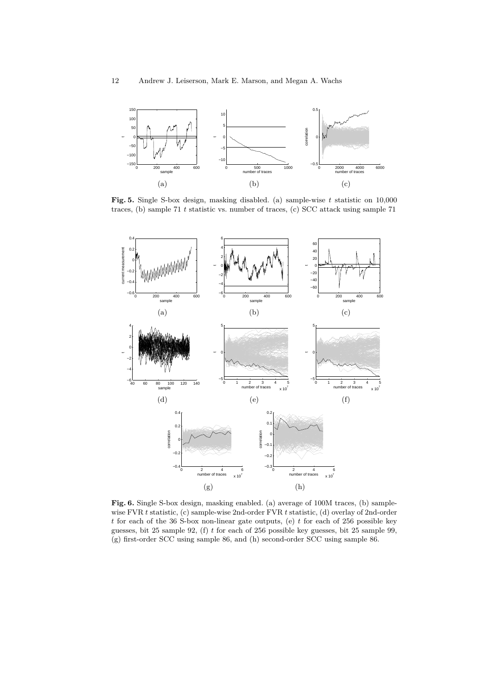

<span id="page-11-0"></span>**Fig. 5.** Single S-box design, masking disabled. (a) sample-wise *t* statistic on 10,000 traces, (b) sample 71 *t* statistic vs. number of traces, (c) SCC attack using sample 71



<span id="page-11-1"></span>**Fig. 6.** Single S-box design, masking enabled. (a) average of 100M traces, (b) samplewise FVR *t* statistic, (c) sample-wise 2nd-order FVR *t* statistic, (d) overlay of 2nd-order *t* for each of the 36 S-box non-linear gate outputs, (e) *t* for each of 256 possible key guesses, bit 25 sample 92, (f) *t* for each of 256 possible key guesses, bit 25 sample 99, (g) first-order SCC using sample 86, and (h) second-order SCC using sample 86.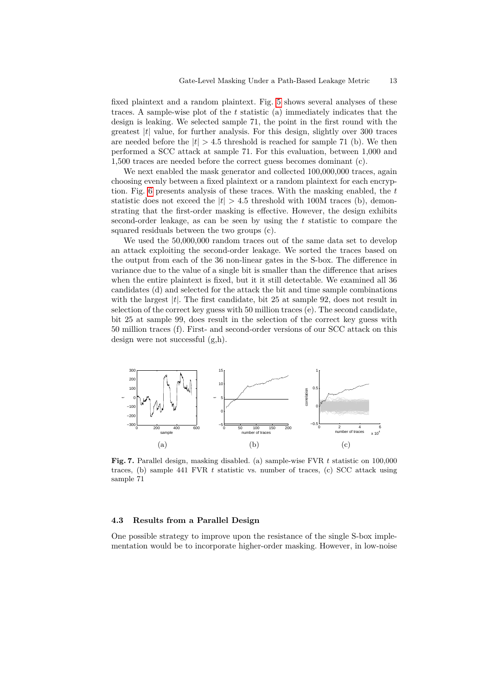fixed plaintext and a random plaintext. Fig. [5](#page-11-0) shows several analyses of these traces. A sample-wise plot of the *t* statistic (a) immediately indicates that the design is leaking. We selected sample 71, the point in the first round with the greatest |*t*| value, for further analysis. For this design, slightly over 300 traces are needed before the  $|t| > 4.5$  threshold is reached for sample 71 (b). We then performed a SCC attack at sample 71. For this evaluation, between 1,000 and 1,500 traces are needed before the correct guess becomes dominant (c).

We next enabled the mask generator and collected  $100,000,000$  traces, again choosing evenly between a fixed plaintext or a random plaintext for each encryption. Fig. [6](#page-11-1) presents analysis of these traces. With the masking enabled, the *t* statistic does not exceed the  $|t| > 4.5$  threshold with 100M traces (b), demonstrating that the first-order masking is effective. However, the design exhibits second-order leakage, as can be seen by using the *t* statistic to compare the squared residuals between the two groups (c).

We used the 50,000,000 random traces out of the same data set to develop an attack exploiting the second-order leakage. We sorted the traces based on the output from each of the 36 non-linear gates in the S-box. The difference in variance due to the value of a single bit is smaller than the difference that arises when the entire plaintext is fixed, but it it still detectable. We examined all 36 candidates (d) and selected for the attack the bit and time sample combinations with the largest  $|t|$ . The first candidate, bit 25 at sample 92, does not result in selection of the correct key guess with 50 million traces (e). The second candidate, bit 25 at sample 99, does result in the selection of the correct key guess with 50 million traces (f). First- and second-order versions of our SCC attack on this design were not successful (g,h).



<span id="page-12-0"></span>**Fig. 7.** Parallel design, masking disabled. (a) sample-wise FVR *t* statistic on 100,000 traces, (b) sample 441 FVR *t* statistic vs. number of traces, (c) SCC attack using sample 71

### **4.3 Results from a Parallel Design**

One possible strategy to improve upon the resistance of the single S-box implementation would be to incorporate higher-order masking. However, in low-noise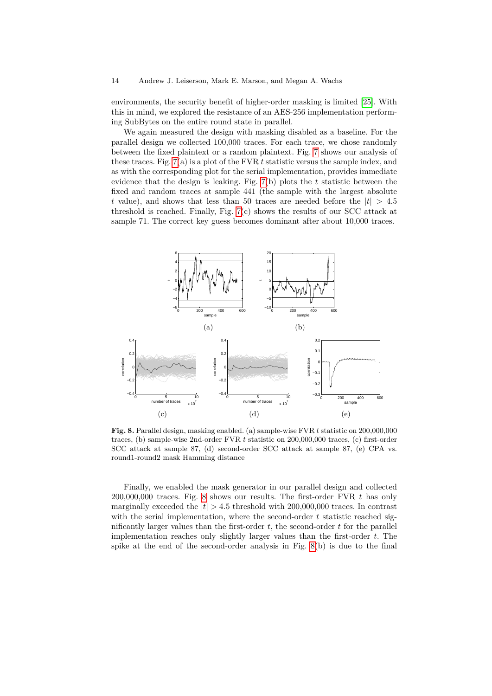environments, the security benefit of higher-order masking is limited [\[25\]](#page-16-8). With this in mind, we explored the resistance of an AES-256 implementation performing SubBytes on the entire round state in parallel.

We again measured the design with masking disabled as a baseline. For the parallel design we collected 100,000 traces. For each trace, we chose randomly between the fixed plaintext or a random plaintext. Fig. [7](#page-12-0) shows our analysis of these traces. Fig. [7\(](#page-12-0)a) is a plot of the FVR *t* statistic versus the sample index, and as with the corresponding plot for the serial implementation, provides immediate evidence that the design is leaking. Fig. [7\(](#page-12-0)b) plots the *t* statistic between the fixed and random traces at sample 441 (the sample with the largest absolute *t* value), and shows that less than 50 traces are needed before the  $|t| > 4.5$ threshold is reached. Finally, Fig. [7\(](#page-12-0)c) shows the results of our SCC attack at sample 71. The correct key guess becomes dominant after about 10,000 traces.



<span id="page-13-0"></span>**Fig. 8.** Parallel design, masking enabled. (a) sample-wise FVR *t* statistic on 200,000,000 traces, (b) sample-wise 2nd-order FVR *t* statistic on 200,000,000 traces, (c) first-order SCC attack at sample 87, (d) second-order SCC attack at sample 87, (e) CPA vs. round1-round2 mask Hamming distance

Finally, we enabled the mask generator in our parallel design and collected 200,000,000 traces. Fig. [8](#page-13-0) shows our results. The first-order FVR *t* has only marginally exceeded the  $|t| > 4.5$  threshold with 200,000,000 traces. In contrast with the serial implementation, where the second-order *t* statistic reached significantly larger values than the first-order  $t$ , the second-order  $t$  for the parallel implementation reaches only slightly larger values than the first-order *t*. The spike at the end of the second-order analysis in Fig. [8\(](#page-13-0)b) is due to the final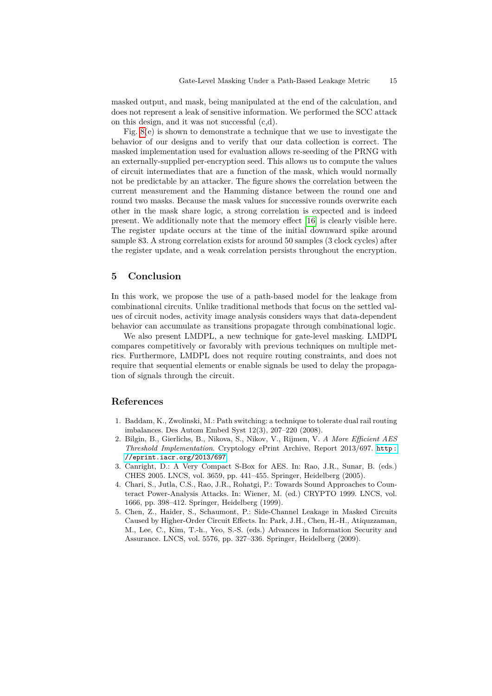masked output, and mask, being manipulated at the end of the calculation, and does not represent a leak of sensitive information. We performed the SCC attack on this design, and it was not successful (c,d).

Fig. [8\(](#page-13-0)e) is shown to demonstrate a technique that we use to investigate the behavior of our designs and to verify that our data collection is correct. The masked implementation used for evaluation allows re-seeding of the PRNG with an externally-supplied per-encryption seed. This allows us to compute the values of circuit intermediates that are a function of the mask, which would normally not be predictable by an attacker. The figure shows the correlation between the current measurement and the Hamming distance between the round one and round two masks. Because the mask values for successive rounds overwrite each other in the mask share logic, a strong correlation is expected and is indeed present. We additionally note that the memory effect [\[16\]](#page-15-10) is clearly visible here. The register update occurs at the time of the initial downward spike around sample 83. A strong correlation exists for around 50 samples (3 clock cycles) after the register update, and a weak correlation persists throughout the encryption.

# **5 Conclusion**

In this work, we propose the use of a path-based model for the leakage from combinational circuits. Unlike traditional methods that focus on the settled values of circuit nodes, activity image analysis considers ways that data-dependent behavior can accumulate as transitions propagate through combinational logic.

We also present LMDPL, a new technique for gate-level masking. LMDPL compares competitively or favorably with previous techniques on multiple metrics. Furthermore, LMDPL does not require routing constraints, and does not require that sequential elements or enable signals be used to delay the propagation of signals through the circuit.

# **References**

- <span id="page-14-3"></span>1. Baddam, K., Zwolinski, M.: Path switching: a technique to tolerate dual rail routing imbalances. Des Autom Embed Syst 12(3), 207–220 (2008).
- <span id="page-14-1"></span>2. Bilgin, B., Gierlichs, B., Nikova, S., Nikov, V., Rijmen, V. *A More Efficient AES Threshold Implementation*. Cryptology ePrint Archive, Report 2013/697. [http :](http://eprint.iacr.org/2013/697) [//eprint.iacr.org/2013/697](http://eprint.iacr.org/2013/697).
- <span id="page-14-4"></span>3. Canright, D.: A Very Compact S-Box for AES. In: Rao, J.R., Sunar, B. (eds.) CHES 2005. LNCS, vol. 3659, pp. 441–455. Springer, Heidelberg (2005).
- <span id="page-14-0"></span>4. Chari, S., Jutla, C.S., Rao, J.R., Rohatgi, P.: Towards Sound Approaches to Counteract Power-Analysis Attacks. In: Wiener, M. (ed.) CRYPTO 1999. LNCS, vol. 1666, pp. 398–412. Springer, Heidelberg (1999).
- <span id="page-14-2"></span>5. Chen, Z., Haider, S., Schaumont, P.: Side-Channel Leakage in Masked Circuits Caused by Higher-Order Circuit Effects. In: Park, J.H., Chen, H.-H., Atiquzzaman, M., Lee, C., Kim, T.-h., Yeo, S.-S. (eds.) Advances in Information Security and Assurance. LNCS, vol. 5576, pp. 327–336. Springer, Heidelberg (2009).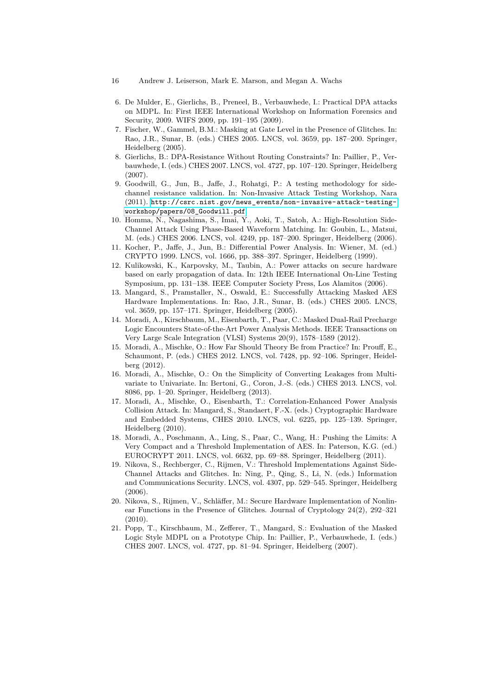- 16 Andrew J. Leiserson, Mark E. Marson, and Megan A. Wachs
- <span id="page-15-5"></span>6. De Mulder, E., Gierlichs, B., Preneel, B., Verbauwhede, I.: Practical DPA attacks on MDPL. In: First IEEE International Workshop on Information Forensics and Security, 2009. WIFS 2009, pp. 191–195 (2009).
- <span id="page-15-1"></span>7. Fischer, W., Gammel, B.M.: Masking at Gate Level in the Presence of Glitches. In: Rao, J.R., Sunar, B. (eds.) CHES 2005. LNCS, vol. 3659, pp. 187–200. Springer, Heidelberg (2005).
- <span id="page-15-6"></span>8. Gierlichs, B.: DPA-Resistance Without Routing Constraints? In: Paillier, P., Verbauwhede, I. (eds.) CHES 2007. LNCS, vol. 4727, pp. 107–120. Springer, Heidelberg (2007).
- <span id="page-15-14"></span>9. Goodwill, G., Jun, B., Jaffe, J., Rohatgi, P.: A testing methodology for sidechannel resistance validation. In: Non-Invasive Attack Testing Workshop, Nara (2011). [http://csrc.nist.gov/news\\_events/non-invasive-attack-testing](http://csrc.nist.gov/news_events/non-invasive-attack-testing-workshop/papers/08_Goodwill.pdf)[workshop/papers/08\\_Goodwill.pdf](http://csrc.nist.gov/news_events/non-invasive-attack-testing-workshop/papers/08_Goodwill.pdf).
- <span id="page-15-15"></span>10. Homma, N., Nagashima, S., Imai, Y., Aoki, T., Satoh, A.: High-Resolution Side-Channel Attack Using Phase-Based Waveform Matching. In: Goubin, L., Matsui, M. (eds.) CHES 2006. LNCS, vol. 4249, pp. 187–200. Springer, Heidelberg (2006).
- <span id="page-15-0"></span>11. Kocher, P., Jaffe, J., Jun, B.: Differential Power Analysis. In: Wiener, M. (ed.) CRYPTO 1999. LNCS, vol. 1666, pp. 388–397. Springer, Heidelberg (1999).
- <span id="page-15-3"></span>12. Kulikowski, K., Karpovsky, M., Taubin, A.: Power attacks on secure hardware based on early propagation of data. In: 12th IEEE International On-Line Testing Symposium, pp. 131–138. IEEE Computer Society Press, Los Alamitos (2006).
- <span id="page-15-2"></span>13. Mangard, S., Pramstaller, N., Oswald, E.: Successfully Attacking Masked AES Hardware Implementations. In: Rao, J.R., Sunar, B. (eds.) CHES 2005. LNCS, vol. 3659, pp. 157–171. Springer, Heidelberg (2005).
- <span id="page-15-8"></span>14. Moradi, A., Kirschbaum, M., Eisenbarth, T., Paar, C.: Masked Dual-Rail Precharge Logic Encounters State-of-the-Art Power Analysis Methods. IEEE Transactions on Very Large Scale Integration (VLSI) Systems 20(9), 1578–1589 (2012).
- <span id="page-15-9"></span>15. Moradi, A., Mischke, O.: How Far Should Theory Be from Practice? In: Prouff, E., Schaumont, P. (eds.) CHES 2012. LNCS, vol. 7428, pp. 92–106. Springer, Heidelberg (2012).
- <span id="page-15-10"></span>16. Moradi, A., Mischke, O.: On the Simplicity of Converting Leakages from Multivariate to Univariate. In: Bertoni, G., Coron, J.-S. (eds.) CHES 2013. LNCS, vol. 8086, pp. 1–20. Springer, Heidelberg (2013).
- <span id="page-15-7"></span>17. Moradi, A., Mischke, O., Eisenbarth, T.: Correlation-Enhanced Power Analysis Collision Attack. In: Mangard, S., Standaert, F.-X. (eds.) Cryptographic Hardware and Embedded Systems, CHES 2010. LNCS, vol. 6225, pp. 125–139. Springer, Heidelberg (2010).
- <span id="page-15-11"></span>18. Moradi, A., Poschmann, A., Ling, S., Paar, C., Wang, H.: Pushing the Limits: A Very Compact and a Threshold Implementation of AES. In: Paterson, K.G. (ed.) EUROCRYPT 2011. LNCS, vol. 6632, pp. 69–88. Springer, Heidelberg (2011).
- <span id="page-15-12"></span>19. Nikova, S., Rechberger, C., Rijmen, V.: Threshold Implementations Against Side-Channel Attacks and Glitches. In: Ning, P., Qing, S., Li, N. (eds.) Information and Communications Security. LNCS, vol. 4307, pp. 529–545. Springer, Heidelberg  $(2006).$
- <span id="page-15-13"></span>20. Nikova, S., Rijmen, V., Schläffer, M.: Secure Hardware Implementation of Nonlinear Functions in the Presence of Glitches. Journal of Cryptology 24(2), 292–321 (2010).
- <span id="page-15-4"></span>21. Popp, T., Kirschbaum, M., Zefferer, T., Mangard, S.: Evaluation of the Masked Logic Style MDPL on a Prototype Chip. In: Paillier, P., Verbauwhede, I. (eds.) CHES 2007. LNCS, vol. 4727, pp. 81–94. Springer, Heidelberg (2007).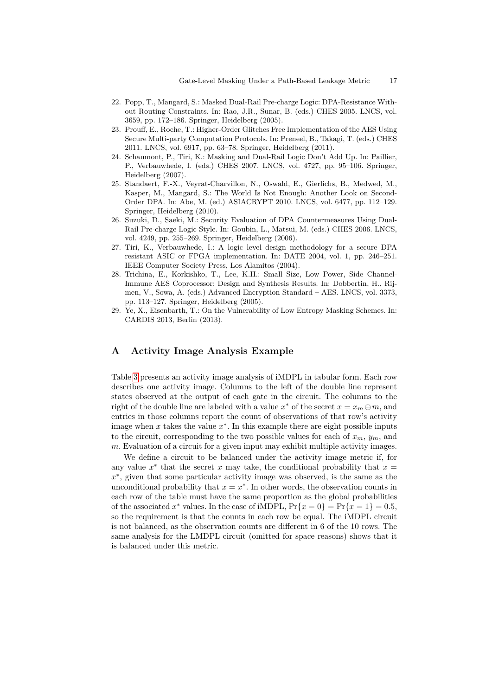- <span id="page-16-1"></span>22. Popp, T., Mangard, S.: Masked Dual-Rail Pre-charge Logic: DPA-Resistance Without Routing Constraints. In: Rao, J.R., Sunar, B. (eds.) CHES 2005. LNCS, vol. 3659, pp. 172–186. Springer, Heidelberg (2005).
- <span id="page-16-5"></span>23. Prouff, E., Roche, T.: Higher-Order Glitches Free Implementation of the AES Using Secure Multi-party Computation Protocols. In: Preneel, B., Takagi, T. (eds.) CHES 2011. LNCS, vol. 6917, pp. 63–78. Springer, Heidelberg (2011).
- <span id="page-16-3"></span>24. Schaumont, P., Tiri, K.: Masking and Dual-Rail Logic Don't Add Up. In: Paillier, P., Verbauwhede, I. (eds.) CHES 2007. LNCS, vol. 4727, pp. 95–106. Springer, Heidelberg (2007).
- <span id="page-16-8"></span>25. Standaert, F.-X., Veyrat-Charvillon, N., Oswald, E., Gierlichs, B., Medwed, M., Kasper, M., Mangard, S.: The World Is Not Enough: Another Look on Second-Order DPA. In: Abe, M. (ed.) ASIACRYPT 2010. LNCS, vol. 6477, pp. 112–129. Springer, Heidelberg (2010).
- <span id="page-16-2"></span>26. Suzuki, D., Saeki, M.: Security Evaluation of DPA Countermeasures Using Dual-Rail Pre-charge Logic Style. In: Goubin, L., Matsui, M. (eds.) CHES 2006. LNCS, vol. 4249, pp. 255–269. Springer, Heidelberg (2006).
- <span id="page-16-7"></span>27. Tiri, K., Verbauwhede, I.: A logic level design methodology for a secure DPA resistant ASIC or FPGA implementation. In: DATE 2004, vol. 1, pp. 246–251. IEEE Computer Society Press, Los Alamitos (2004).
- <span id="page-16-0"></span>28. Trichina, E., Korkishko, T., Lee, K.H.: Small Size, Low Power, Side Channel-Immune AES Coprocessor: Design and Synthesis Results. In: Dobbertin, H., Rijmen, V., Sowa, A. (eds.) Advanced Encryption Standard – AES. LNCS, vol. 3373, pp. 113–127. Springer, Heidelberg (2005).
- <span id="page-16-4"></span>29. Ye, X., Eisenbarth, T.: On the Vulnerability of Low Entropy Masking Schemes. In: CARDIS 2013, Berlin (2013).

# <span id="page-16-6"></span>**A Activity Image Analysis Example**

Table [3](#page-17-1) presents an activity image analysis of iMDPL in tabular form. Each row describes one activity image. Columns to the left of the double line represent states observed at the output of each gate in the circuit. The columns to the right of the double line are labeled with a value  $x^*$  of the secret  $x = x_m \oplus m$ , and entries in those columns report the count of observations of that row's activity image when  $x$  takes the value  $x^*$ . In this example there are eight possible inputs to the circuit, corresponding to the two possible values for each of  $x_m$ ,  $y_m$ , and *m*. Evaluation of a circuit for a given input may exhibit multiple activity images.

We define a circuit to be balanced under the activity image metric if, for any value  $x^*$  that the secret  $x$  may take, the conditional probability that  $x =$ *x* ∗ , given that some particular activity image was observed, is the same as the unconditional probability that  $x = x^*$ . In other words, the observation counts in each row of the table must have the same proportion as the global probabilities of the associated  $x^*$  values. In the case of iMDPL,  $Pr\{x=0\} = Pr\{x=1\} = 0.5$ , so the requirement is that the counts in each row be equal. The iMDPL circuit is not balanced, as the observation counts are different in 6 of the 10 rows. The same analysis for the LMDPL circuit (omitted for space reasons) shows that it is balanced under this metric.